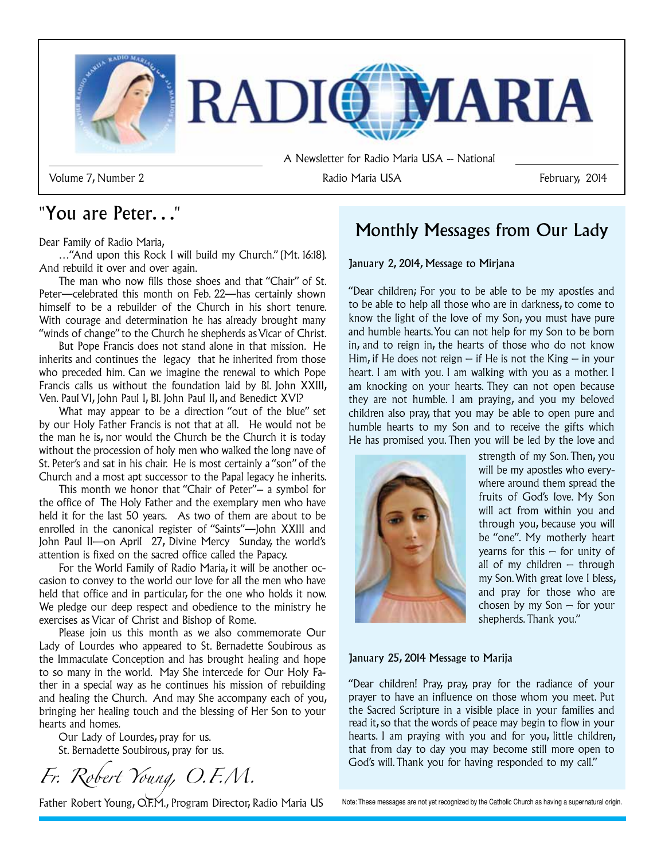

Dear Family of Radio Maria,

…"And upon this Rock I will build my Church." (Mt. 16:18). And rebuild it over and over again.

The man who now fills those shoes and that "Chair" of St. Peter—celebrated this month on Feb. 22—has certainly shown himself to be a rebuilder of the Church in his short tenure. With courage and determination he has already brought many "winds of change" to the Church he shepherds as Vicar of Christ.

But Pope Francis does not stand alone in that mission. He inherits and continues the legacy that he inherited from those who preceded him. Can we imagine the renewal to which Pope Francis calls us without the foundation laid by Bl. John XXIII, Ven. Paul VI, John Paul I, Bl. John Paul II, and Benedict XVI?

What may appear to be a direction "out of the blue" set by our Holy Father Francis is not that at all. He would not be the man he is, nor would the Church be the Church it is today without the procession of holy men who walked the long nave of St. Peter's and sat in his chair. He is most certainly a "son" of the Church and a most apt successor to the Papal legacy he inherits.

This month we honor that "Chair of Peter"-- a symbol for the office of The Holy Father and the exemplary men who have held it for the last 50 years. As two of them are about to be enrolled in the canonical register of "Saints"—John XXIII and John Paul II—on April 27, Divine Mercy Sunday, the world's attention is fixed on the sacred office called the Papacy.

For the World Family of Radio Maria, it will be another occasion to convey to the world our love for all the men who have held that office and in particular, for the one who holds it now. We pledge our deep respect and obedience to the ministry he exercises as Vicar of Christ and Bishop of Rome.

Please join us this month as we also commemorate Our Lady of Lourdes who appeared to St. Bernadette Soubirous as the Immaculate Conception and has brought healing and hope to so many in the world. May She intercede for Our Holy Father in a special way as he continues his mission of rebuilding and healing the Church. And may She accompany each of you, bringing her healing touch and the blessing of Her Son to your hearts and homes.

Our Lady of Lourdes, pray for us. St. Bernadette Soubirous, pray for us.

*Fr. Robert Young, O.F.M.*

Father Robert Young, O.F.M., Program Director, Radio Maria US

# "You are Peter..."<br>Monthly Messages from Our Lady

#### January 2, 2014, Message to Mirjana

"Dear children; For you to be able to be my apostles and to be able to help all those who are in darkness, to come to know the light of the love of my Son, you must have pure and humble hearts. You can not help for my Son to be born in, and to reign in, the hearts of those who do not know Him, if He does not reign  $-$  if He is not the King  $-$  in your heart. I am with you. I am walking with you as a mother. I am knocking on your hearts. They can not open because they are not humble. I am praying, and you my beloved children also pray, that you may be able to open pure and humble hearts to my Son and to receive the gifts which He has promised you. Then you will be led by the love and



strength of my Son. Then, you will be my apostles who everywhere around them spread the fruits of God's love. My Son will act from within you and through you, because you will be "one". My motherly heart yearns for this  $-$  for unity of all of my children  $-$  through my Son. With great love I bless, and pray for those who are chosen by my Son – for your shepherds. Thank you."

#### January 25, 2014 Message to Marija

"Dear children! Pray, pray, pray for the radiance of your prayer to have an influence on those whom you meet. Put the Sacred Scripture in a visible place in your families and read it, so that the words of peace may begin to flow in your hearts. I am praying with you and for you, little children, that from day to day you may become still more open to God's will. Thank you for having responded to my call."

Note: These messages are not yet recognized by the Catholic Church as having a supernatural origin.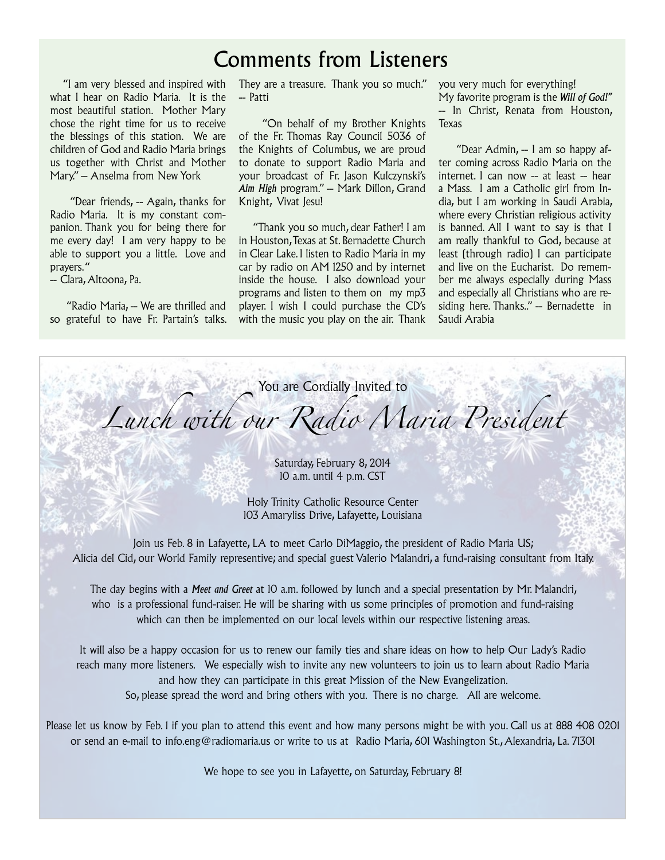# Comments from Listeners

 "I am very blessed and inspired with what I hear on Radio Maria. It is the most beautiful station. Mother Mary chose the right time for us to receive the blessings of this station. We are children of God and Radio Maria brings us together with Christ and Mother Mary." -- Anselma from New York

"Dear friends,  $-$  Again, thanks for Radio Maria. It is my constant companion. Thank you for being there for me every day! I am very happy to be able to support you a little. Love and prayers. "

-- Clara, Altoona, Pa.

"Radio Maria, -- We are thrilled and so grateful to have Fr. Partain's talks.

They are a treasure. Thank you so much." you very much for everything! -- Patti

 "On behalf of my Brother Knights of the Fr. Thomas Ray Council 5036 of the Knights of Columbus, we are proud to donate to support Radio Maria and your broadcast of Fr. Jason Kulczynski's Aim High program." -- Mark Dillon, Grand Knight, Vivat Jesu!

 "Thank you so much, dear Father! I am in Houston, Texas at St. Bernadette Church in Clear Lake. I listen to Radio Maria in my car by radio on AM 1250 and by internet inside the house. I also download your programs and listen to them on my mp3 player. I wish I could purchase the CD's with the music you play on the air. Thank My favorite program is the *Will of God!"* -- In Christ, Renata from Houston, Texas

"Dear Admin, -- I am so happy after coming across Radio Maria on the  $internet. I can now - at least - hear$ a Mass. I am a Catholic girl from India, but I am working in Saudi Arabia, where every Christian religious activity is banned. All I want to say is that I am really thankful to God, because at least (through radio) I can participate and live on the Eucharist. Do remember me always especially during Mass and especially all Christians who are residing here. Thanks.." -- Bernadette in Saudi Arabia

You are Cordially Invited to

*Lunch with our Radio Maria President*

Saturday, February 8, 2014 10 a.m. until 4 p.m. CST

Holy Trinity Catholic Resource Center 103 Amaryliss Drive, Lafayette, Louisiana

Join us Feb. 8 in Lafayette, LA to meet Carlo DiMaggio, the president of Radio Maria US; Alicia del Cid, our World Family representive; and special guest Valerio Malandri, a fund-raising consultant from Italy.

The day begins with a *Meet and Greet* at 10 a.m. followed by lunch and a special presentation by Mr. Malandri, who is a professional fund-raiser. He will be sharing with us some principles of promotion and fund-raising which can then be implemented on our local levels within our respective listening areas.

It will also be a happy occasion for us to renew our family ties and share ideas on how to help Our Lady's Radio reach many more listeners. We especially wish to invite any new volunteers to join us to learn about Radio Maria and how they can participate in this great Mission of the New Evangelization. So, please spread the word and bring others with you. There is no charge. All are welcome.

Please let us know by Feb. 1 if you plan to attend this event and how many persons might be with you. Call us at 888 408 0201 or send an e-mail to info.eng@radiomaria.us or write to us at Radio Maria, 601 Washington St., Alexandria, La. 71301

We hope to see you in Lafayette, on Saturday, February 8!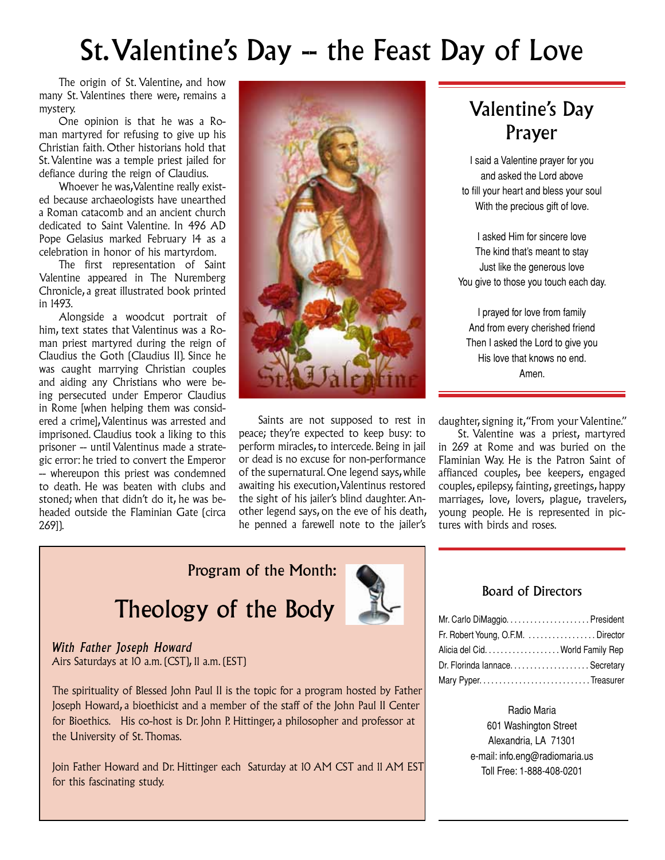# St. Valentine's Day -- the Feast Day of Love

The origin of St. Valentine, and how many St. Valentines there were, remains a mystery.

One opinion is that he was a Roman martyred for refusing to give up his Christian faith. Other historians hold that St. Valentine was a temple priest jailed for defiance during the reign of Claudius.

Whoever he was, Valentine really existed because archaeologists have unearthed a Roman catacomb and an ancient church dedicated to Saint Valentine. In 496 AD Pope Gelasius marked February 14 as a celebration in honor of his martyrdom.

The first representation of Saint Valentine appeared in The Nuremberg Chronicle, a great illustrated book printed in 1493.

Alongside a woodcut portrait of him, text states that Valentinus was a Roman priest martyred during the reign of Claudius the Goth (Claudius II). Since he was caught marrying Christian couples and aiding any Christians who were being persecuted under Emperor Claudius in Rome [when helping them was considered a crime], Valentinus was arrested and imprisoned. Claudius took a liking to this prisoner -- until Valentinus made a strategic error: he tried to convert the Emperor -- whereupon this priest was condemned to death. He was beaten with clubs and stoned; when that didn't do it, he was beheaded outside the Flaminian Gate (circa 269]).



Saints are not supposed to rest in peace; they're expected to keep busy: to perform miracles, to intercede. Being in jail or dead is no excuse for non-performance of the supernatural. One legend says, while awaiting his execution, Valentinus restored the sight of his jailer's blind daughter. Another legend says, on the eve of his death, he penned a farewell note to the jailer's

## Valentine's Day Prayer

I said a Valentine prayer for you and asked the Lord above to fill your heart and bless your soul With the precious gift of love.

I asked Him for sincere love The kind that's meant to stay Just like the generous love You give to those you touch each day.

I prayed for love from family And from every cherished friend Then I asked the Lord to give you His love that knows no end. Amen.

daughter, signing it, "From your Valentine."

St. Valentine was a priest, martyred in 269 at Rome and was buried on the Flaminian Way. He is the Patron Saint of affianced couples, bee keepers, engaged couples, epilepsy, fainting, greetings, happy marriages, love, lovers, plague, travelers, young people. He is represented in pictures with birds and roses.

### Program of the Month:

# Theology of the Body



*With Father Joseph Howard* Airs Saturdays at 10 a.m. (CST), 11 a.m. (EST)

The spirituality of Blessed John Paul II is the topic for a program hosted by Father Joseph Howard, a bioethicist and a member of the staff of the John Paul II Center for Bioethics. His co-host is Dr. John P. Hittinger, a philosopher and professor at the University of St. Thomas.

Join Father Howard and Dr. Hittinger each Saturday at 10 AM CST and 11 AM EST for this fascinating study.

#### Board of Directors

| Fr. Robert Young, O.F.M. Director |  |
|-----------------------------------|--|
| Alicia del Cid. World Family Rep  |  |
|                                   |  |
|                                   |  |

#### Radio Maria

601 Washington Street Alexandria, LA 71301 e-mail: info.eng@radiomaria.us Toll Free: 1-888-408-0201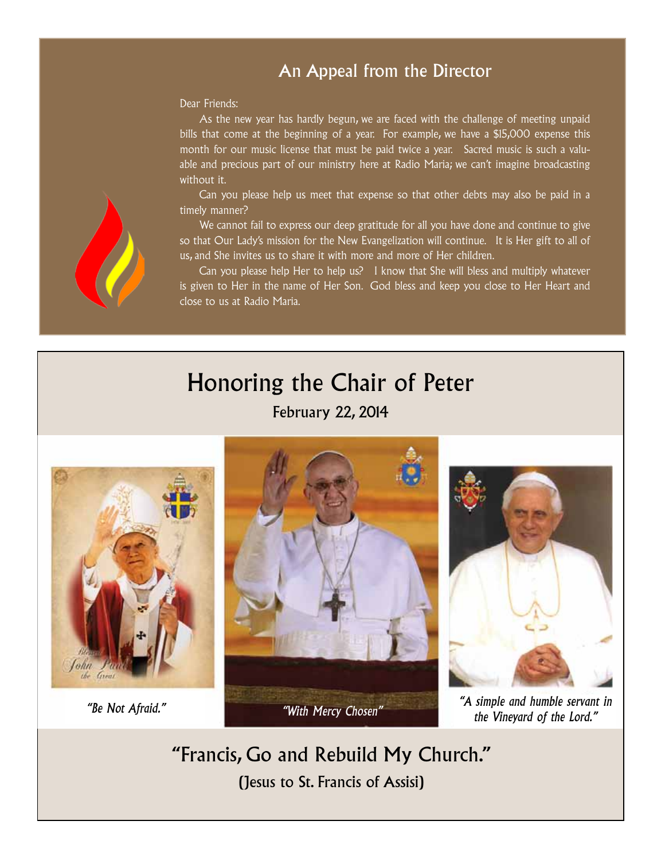### An Appeal from the Director

Dear Friends:

As the new year has hardly begun, we are faced with the challenge of meeting unpaid bills that come at the beginning of a year. For example, we have a \$15,000 expense this month for our music license that must be paid twice a year. Sacred music is such a valuable and precious part of our ministry here at Radio Maria; we can't imagine broadcasting without it.

Can you please help us meet that expense so that other debts may also be paid in a timely manner?

We cannot fail to express our deep gratitude for all you have done and continue to give so that Our Lady's mission for the New Evangelization will continue. It is Her gift to all of us, and She invites us to share it with more and more of Her children.

Can you please help Her to help us? I know that She will bless and multiply whatever is given to Her in the name of Her Son. God bless and keep you close to Her Heart and close to us at Radio Maria.

# Honoring the Chair of Peter

February 22, 2014







*the Vineyard of the Lord."* 

"Francis, Go and Rebuild My Church." (Jesus to St. Francis of Assisi)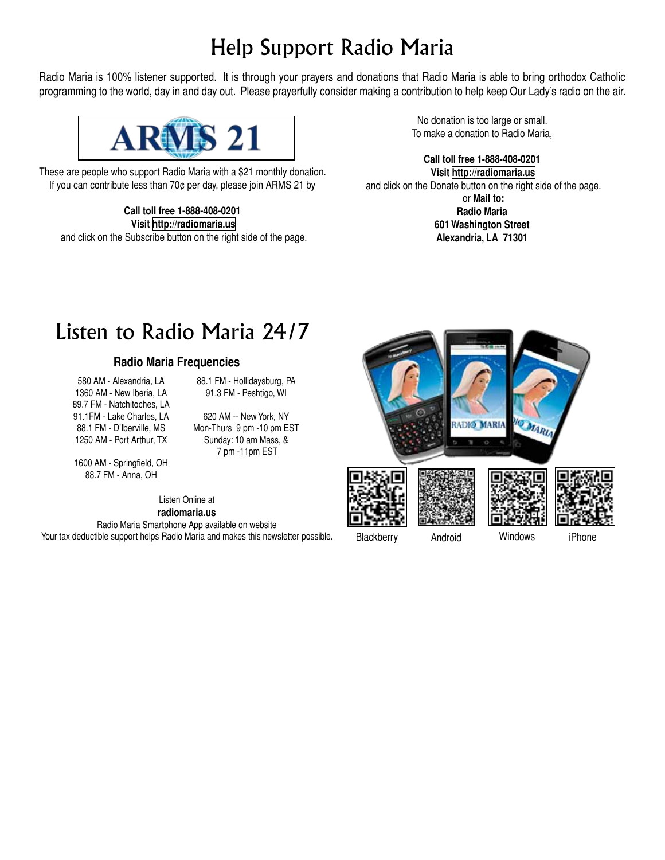# Help Support Radio Maria

Radio Maria is 100% listener supported. It is through your prayers and donations that Radio Maria is able to bring orthodox Catholic programming to the world, day in and day out. Please prayerfully consider making a contribution to help keep Our Lady's radio on the air.



These are people who support Radio Maria with a \$21 monthly donation. If you can contribute less than 70¢ per day, please join ARMS 21 by

**Call toll free 1-888-408-0201 Visit<http://radiomaria.us>** and click on the Subscribe button on the right side of the page.

No donation is too large or small. To make a donation to Radio Maria,

**Call toll free 1-888-408-0201 Visit<http://radiomaria.us>** and click on the Donate button on the right side of the page. or **Mail to: Radio Maria 601 Washington Street Alexandria, LA 71301**

# Listen to Radio Maria 24/7

#### **Radio Maria Frequencies**

580 AM - Alexandria, LA 1360 AM - New Iberia, LA 89.7 FM - Natchitoches, LA 91.1FM - Lake Charles, LA 88.1 FM - D'Iberville, MS 1250 AM - Port Arthur, TX

88.1 FM - Hollidaysburg, PA 91.3 FM - Peshtigo, WI

620 AM -- New York, NY Mon-Thurs 9 pm -10 pm EST Sunday: 10 am Mass, & 7 pm -11pm EST

1600 AM - Springfield, OH 88.7 FM - Anna, OH

> Listen Online at **radiomaria.us**

Radio Maria Smartphone App available on website Your tax deductible support helps Radio Maria and makes this newsletter possible.